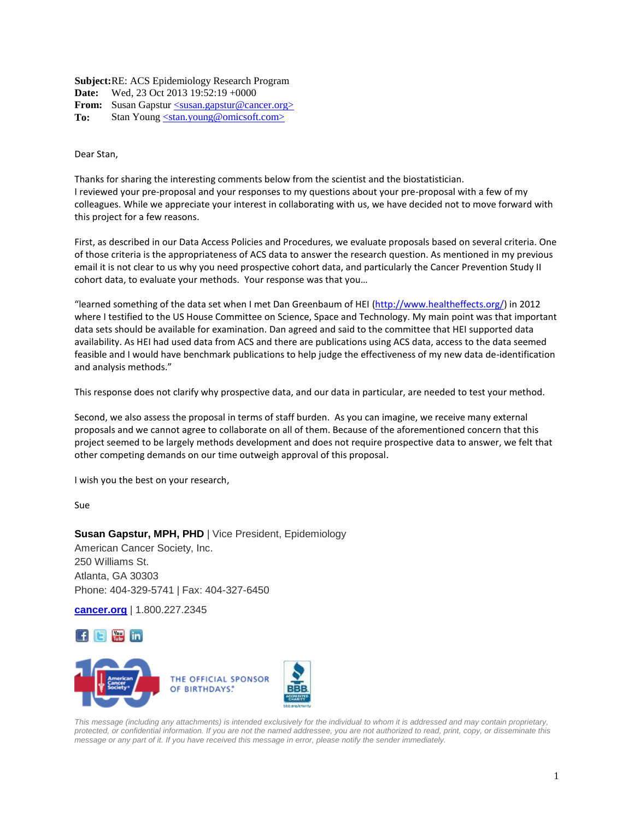**Subject:** RE: ACS Epidemiology Research Program **Date:** Wed, 23 Oct 2013 19:52:19 +0000 **From:** Susan Gapstur <u><susan.gapstur@cancer.org></u> **To:** Stan Young [<stan.young@omicsoft.com>](mailto:stan.young@omicsoft.com)

Dear Stan,

Thanks for sharing the interesting comments below from the scientist and the biostatistician. I reviewed your pre-proposal and your responses to my questions about your pre-proposal with a few of my colleagues. While we appreciate your interest in collaborating with us, we have decided not to move forward with this project for a few reasons.

First, as described in our Data Access Policies and Procedures, we evaluate proposals based on several criteria. One of those criteria is the appropriateness of ACS data to answer the research question. As mentioned in my previous email it is not clear to us why you need prospective cohort data, and particularly the Cancer Prevention Study II cohort data, to evaluate your methods. Your response was that you…

"learned something of the data set when I met Dan Greenbaum of HEI [\(http://www.healtheffects.org/\)](http://www.healtheffects.org/) in 2012 where I testified to the US House Committee on Science, Space and Technology. My main point was that important data sets should be available for examination. Dan agreed and said to the committee that HEI supported data availability. As HEI had used data from ACS and there are publications using ACS data, access to the data seemed feasible and I would have benchmark publications to help judge the effectiveness of my new data de-identification and analysis methods."

This response does not clarify why prospective data, and our data in particular, are needed to test your method.

Second, we also assess the proposal in terms of staff burden. As you can imagine, we receive many external proposals and we cannot agree to collaborate on all of them. Because of the aforementioned concern that this project seemed to be largely methods development and does not require prospective data to answer, we felt that other competing demands on our time outweigh approval of this proposal.

I wish you the best on your research,

Sue

**Susan Gapstur, MPH, PHD** | Vice President, Epidemiology American Cancer Society, Inc. 250 Williams St. Atlanta, GA 30303 Phone: 404-329-5741 | Fax: 404-327-6450

**[cancer.org](http://www.cancer.org/)** | 1.800.227.2345





*This message (including any attachments) is intended exclusively for the individual to whom it is addressed and may contain proprietary, protected, or confidential information. If you are not the named addressee, you are not authorized to read, print, copy, or disseminate this message or any part of it. If you have received this message in error, please notify the sender immediately.*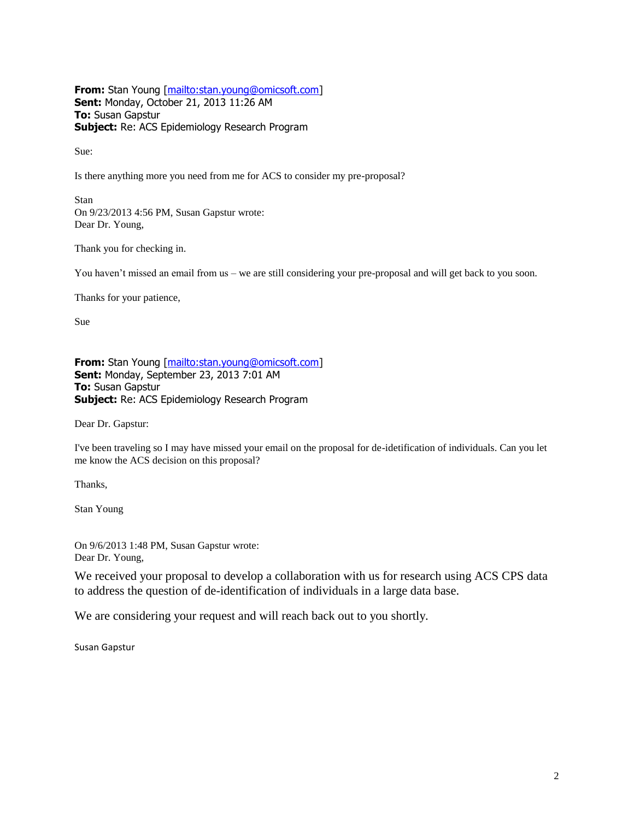**From:** Stan Young [\[mailto:stan.young@omicsoft.com\]](mailto:stan.young@omicsoft.com) **Sent:** Monday, October 21, 2013 11:26 AM **To:** Susan Gapstur **Subject:** Re: ACS Epidemiology Research Program

Sue:

Is there anything more you need from me for ACS to consider my pre-proposal?

Stan On 9/23/2013 4:56 PM, Susan Gapstur wrote: Dear Dr. Young,

Thank you for checking in.

You haven't missed an email from us – we are still considering your pre-proposal and will get back to you soon.

Thanks for your patience,

Sue

**From:** Stan Young [\[mailto:stan.young@omicsoft.com\]](mailto:stan.young@omicsoft.com) **Sent:** Monday, September 23, 2013 7:01 AM **To:** Susan Gapstur **Subject:** Re: ACS Epidemiology Research Program

Dear Dr. Gapstur:

I've been traveling so I may have missed your email on the proposal for de-idetification of individuals. Can you let me know the ACS decision on this proposal?

Thanks,

Stan Young

On 9/6/2013 1:48 PM, Susan Gapstur wrote: Dear Dr. Young,

We received your proposal to develop a collaboration with us for research using ACS CPS data to address the question of de-identification of individuals in a large data base.

We are considering your request and will reach back out to you shortly.

Susan Gapstur